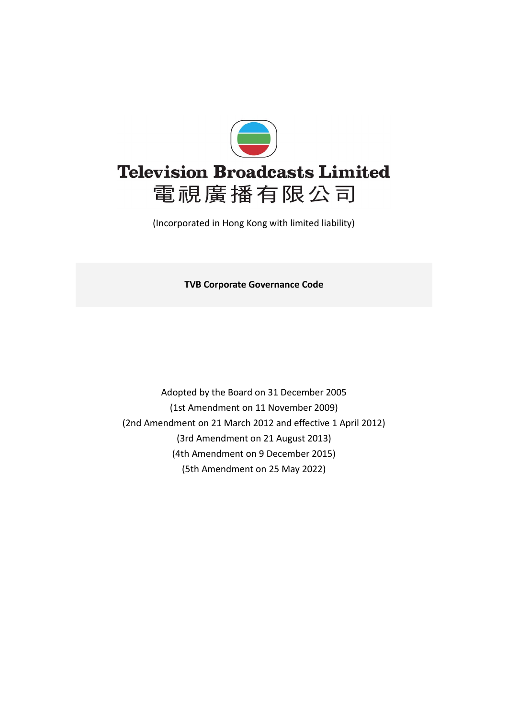

(Incorporated in Hong Kong with limited liability)

**TVB Corporate Governance Code**

Adopted by the Board on 31 December 2005 (1st Amendment on 11 November 2009) (2nd Amendment on 21 March 2012 and effective 1 April 2012) (3rd Amendment on 21 August 2013) (4th Amendment on 9 December 2015) (5th Amendment on 25 May 2022)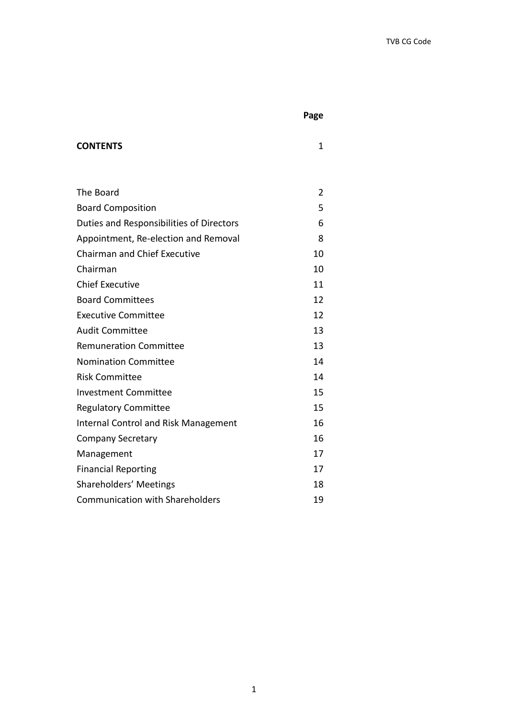**Page**

## **CONTENTS** 1

| The Board                                   | 2  |
|---------------------------------------------|----|
| <b>Board Composition</b>                    | 5  |
| Duties and Responsibilities of Directors    | 6  |
| Appointment, Re-election and Removal        | 8  |
| <b>Chairman and Chief Executive</b>         | 10 |
| Chairman                                    | 10 |
| <b>Chief Executive</b>                      | 11 |
| <b>Board Committees</b>                     | 12 |
| <b>Executive Committee</b>                  | 12 |
| <b>Audit Committee</b>                      | 13 |
| <b>Remuneration Committee</b>               | 13 |
| <b>Nomination Committee</b>                 | 14 |
| <b>Risk Committee</b>                       | 14 |
| <b>Investment Committee</b>                 | 15 |
| <b>Regulatory Committee</b>                 | 15 |
| <b>Internal Control and Risk Management</b> | 16 |
| <b>Company Secretary</b>                    | 16 |
| Management                                  | 17 |
| <b>Financial Reporting</b>                  | 17 |
| Shareholders' Meetings                      | 18 |
| <b>Communication with Shareholders</b>      | 19 |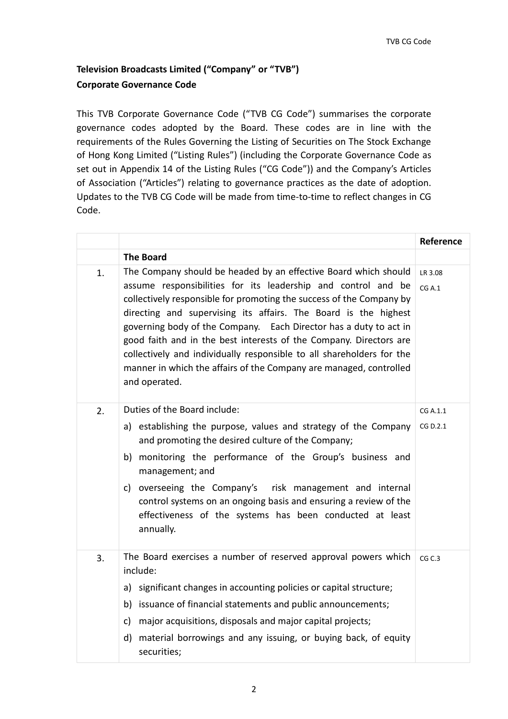## **Television Broadcasts Limited ("Company" or "TVB") Corporate Governance Code**

This TVB Corporate Governance Code ("TVB CG Code") summarises the corporate governance codes adopted by the Board. These codes are in line with the requirements of the Rules Governing the Listing of Securities on The Stock Exchange of Hong Kong Limited ("Listing Rules") (including the Corporate Governance Code as set out in Appendix 14 of the Listing Rules ("CG Code")) and the Company's Articles of Association ("Articles") relating to governance practices as the date of adoption. Updates to the TVB CG Code will be made from time-to-time to reflect changes in CG Code.

|    |                                                                                                                                                                                                                                                                                                                                                                                                                                                                                                                                                                                        | Reference            |
|----|----------------------------------------------------------------------------------------------------------------------------------------------------------------------------------------------------------------------------------------------------------------------------------------------------------------------------------------------------------------------------------------------------------------------------------------------------------------------------------------------------------------------------------------------------------------------------------------|----------------------|
|    | <b>The Board</b>                                                                                                                                                                                                                                                                                                                                                                                                                                                                                                                                                                       |                      |
| 1. | The Company should be headed by an effective Board which should<br>assume responsibilities for its leadership and control and be<br>collectively responsible for promoting the success of the Company by<br>directing and supervising its affairs. The Board is the highest<br>governing body of the Company. Each Director has a duty to act in<br>good faith and in the best interests of the Company. Directors are<br>collectively and individually responsible to all shareholders for the<br>manner in which the affairs of the Company are managed, controlled<br>and operated. | LR 3.08<br>CGA.1     |
| 2. | Duties of the Board include:<br>a) establishing the purpose, values and strategy of the Company<br>and promoting the desired culture of the Company;<br>b) monitoring the performance of the Group's business and<br>management; and<br>c) overseeing the Company's risk management and internal<br>control systems on an ongoing basis and ensuring a review of the<br>effectiveness of the systems has been conducted at least<br>annually.                                                                                                                                          | CG A.1.1<br>CG D.2.1 |
| 3. | The Board exercises a number of reserved approval powers which<br>include:<br>a) significant changes in accounting policies or capital structure;<br>b) issuance of financial statements and public announcements;<br>c) major acquisitions, disposals and major capital projects;<br>material borrowings and any issuing, or buying back, of equity<br>d)<br>securities;                                                                                                                                                                                                              | CG <sub>C</sub> .3   |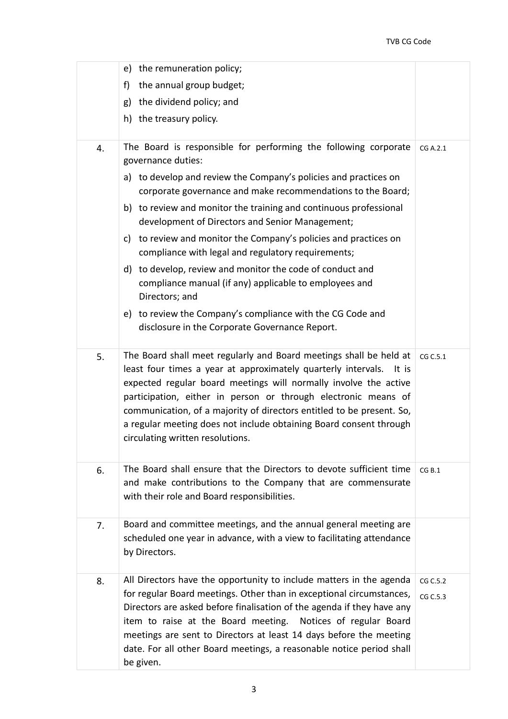|    | e) the remuneration policy;                                                                                                                                                                                                                                                                                                                                                                                                                                           |                      |
|----|-----------------------------------------------------------------------------------------------------------------------------------------------------------------------------------------------------------------------------------------------------------------------------------------------------------------------------------------------------------------------------------------------------------------------------------------------------------------------|----------------------|
|    | the annual group budget;<br>f)                                                                                                                                                                                                                                                                                                                                                                                                                                        |                      |
|    | the dividend policy; and<br>g)                                                                                                                                                                                                                                                                                                                                                                                                                                        |                      |
|    | h) the treasury policy.                                                                                                                                                                                                                                                                                                                                                                                                                                               |                      |
| 4. | The Board is responsible for performing the following corporate<br>governance duties:                                                                                                                                                                                                                                                                                                                                                                                 | CG A.2.1             |
|    | a) to develop and review the Company's policies and practices on<br>corporate governance and make recommendations to the Board;                                                                                                                                                                                                                                                                                                                                       |                      |
|    | b) to review and monitor the training and continuous professional<br>development of Directors and Senior Management;                                                                                                                                                                                                                                                                                                                                                  |                      |
|    | to review and monitor the Company's policies and practices on<br>c)<br>compliance with legal and regulatory requirements;                                                                                                                                                                                                                                                                                                                                             |                      |
|    | d) to develop, review and monitor the code of conduct and<br>compliance manual (if any) applicable to employees and<br>Directors; and                                                                                                                                                                                                                                                                                                                                 |                      |
|    | e) to review the Company's compliance with the CG Code and<br>disclosure in the Corporate Governance Report.                                                                                                                                                                                                                                                                                                                                                          |                      |
| 5. | The Board shall meet regularly and Board meetings shall be held at<br>least four times a year at approximately quarterly intervals.<br>It is<br>expected regular board meetings will normally involve the active<br>participation, either in person or through electronic means of<br>communication, of a majority of directors entitled to be present. So,<br>a regular meeting does not include obtaining Board consent through<br>circulating written resolutions. | CG C.5.1             |
| 6. | The Board shall ensure that the Directors to devote sufficient time<br>and make contributions to the Company that are commensurate<br>with their role and Board responsibilities.                                                                                                                                                                                                                                                                                     | CG B.1               |
| 7. | Board and committee meetings, and the annual general meeting are<br>scheduled one year in advance, with a view to facilitating attendance<br>by Directors.                                                                                                                                                                                                                                                                                                            |                      |
| 8. | All Directors have the opportunity to include matters in the agenda<br>for regular Board meetings. Other than in exceptional circumstances,<br>Directors are asked before finalisation of the agenda if they have any<br>item to raise at the Board meeting. Notices of regular Board<br>meetings are sent to Directors at least 14 days before the meeting<br>date. For all other Board meetings, a reasonable notice period shall<br>be given.                      | CG C.5.2<br>CG C.5.3 |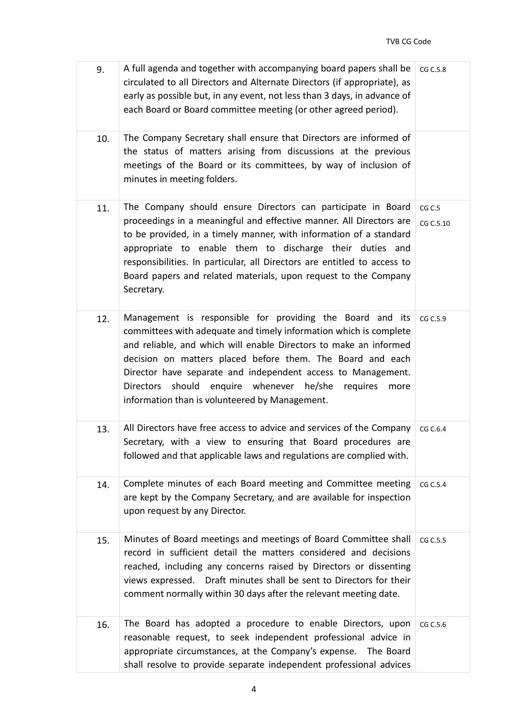| 9.  | A full agenda and together with accompanying board papers shall be<br>circulated to all Directors and Alternate Directors (if appropriate), as<br>early as possible but, in any event, not less than 3 days, in advance of<br>each Board or Board committee meeting (or other agreed period).                                                                                                                                                 | CG C.5.8            |
|-----|-----------------------------------------------------------------------------------------------------------------------------------------------------------------------------------------------------------------------------------------------------------------------------------------------------------------------------------------------------------------------------------------------------------------------------------------------|---------------------|
| 10. | The Company Secretary shall ensure that Directors are informed of<br>the status of matters arising from discussions at the previous<br>meetings of the Board or its committees, by way of inclusion of<br>minutes in meeting folders.                                                                                                                                                                                                         |                     |
| 11. | The Company should ensure Directors can participate in Board<br>proceedings in a meaningful and effective manner. All Directors are<br>to be provided, in a timely manner, with information of a standard<br>appropriate to enable them to discharge their duties and<br>responsibilities. In particular, all Directors are entitled to access to<br>Board papers and related materials, upon request to the Company<br>Secretary.            | CG C.5<br>CG C.5.10 |
| 12. | Management is responsible for providing the Board and its<br>committees with adequate and timely information which is complete<br>and reliable, and which will enable Directors to make an informed<br>decision on matters placed before them. The Board and each<br>Director have separate and independent access to Management.<br>Directors should enquire whenever he/she requires more<br>information than is volunteered by Management. | CG C.5.9            |
| 13. | All Directors have free access to advice and services of the Company<br>Secretary, with a view to ensuring that Board procedures are<br>followed and that applicable laws and regulations are complied with.                                                                                                                                                                                                                                  | CG C.6.4            |
| 14. | Complete minutes of each Board meeting and Committee meeting<br>are kept by the Company Secretary, and are available for inspection<br>upon request by any Director.                                                                                                                                                                                                                                                                          | CG C.5.4            |
| 15. | Minutes of Board meetings and meetings of Board Committee shall<br>record in sufficient detail the matters considered and decisions<br>reached, including any concerns raised by Directors or dissenting<br>Draft minutes shall be sent to Directors for their<br>views expressed.<br>comment normally within 30 days after the relevant meeting date.                                                                                        | CG C.5.5            |
| 16. | The Board has adopted a procedure to enable Directors, upon<br>reasonable request, to seek independent professional advice in<br>appropriate circumstances, at the Company's expense.<br>The Board<br>shall resolve to provide separate independent professional advices                                                                                                                                                                      | CG C.5.6            |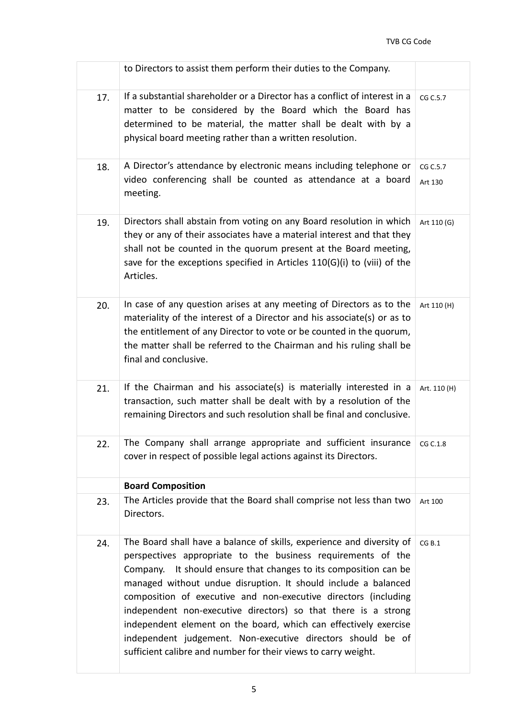|     | to Directors to assist them perform their duties to the Company.                                                                                                                                                                                                                                                                                                                                                                                                                                                                                                                                                         |                     |
|-----|--------------------------------------------------------------------------------------------------------------------------------------------------------------------------------------------------------------------------------------------------------------------------------------------------------------------------------------------------------------------------------------------------------------------------------------------------------------------------------------------------------------------------------------------------------------------------------------------------------------------------|---------------------|
| 17. | If a substantial shareholder or a Director has a conflict of interest in a<br>matter to be considered by the Board which the Board has<br>determined to be material, the matter shall be dealt with by a<br>physical board meeting rather than a written resolution.                                                                                                                                                                                                                                                                                                                                                     | CG C.5.7            |
| 18. | A Director's attendance by electronic means including telephone or<br>video conferencing shall be counted as attendance at a board<br>meeting.                                                                                                                                                                                                                                                                                                                                                                                                                                                                           | CG C.5.7<br>Art 130 |
| 19. | Directors shall abstain from voting on any Board resolution in which<br>they or any of their associates have a material interest and that they<br>shall not be counted in the quorum present at the Board meeting,<br>save for the exceptions specified in Articles 110(G)(i) to (viii) of the<br>Articles.                                                                                                                                                                                                                                                                                                              | Art 110 (G)         |
| 20. | In case of any question arises at any meeting of Directors as to the<br>materiality of the interest of a Director and his associate(s) or as to<br>the entitlement of any Director to vote or be counted in the quorum,<br>the matter shall be referred to the Chairman and his ruling shall be<br>final and conclusive.                                                                                                                                                                                                                                                                                                 | Art 110 (H)         |
| 21. | If the Chairman and his associate(s) is materially interested in a<br>transaction, such matter shall be dealt with by a resolution of the<br>remaining Directors and such resolution shall be final and conclusive.                                                                                                                                                                                                                                                                                                                                                                                                      | Art. 110 (H)        |
| 22. | The Company shall arrange appropriate and sufficient insurance<br>cover in respect of possible legal actions against its Directors.                                                                                                                                                                                                                                                                                                                                                                                                                                                                                      | CG C.1.8            |
|     | <b>Board Composition</b>                                                                                                                                                                                                                                                                                                                                                                                                                                                                                                                                                                                                 |                     |
| 23. | The Articles provide that the Board shall comprise not less than two<br>Directors.                                                                                                                                                                                                                                                                                                                                                                                                                                                                                                                                       | Art 100             |
| 24. | The Board shall have a balance of skills, experience and diversity of<br>perspectives appropriate to the business requirements of the<br>It should ensure that changes to its composition can be<br>Company.<br>managed without undue disruption. It should include a balanced<br>composition of executive and non-executive directors (including<br>independent non-executive directors) so that there is a strong<br>independent element on the board, which can effectively exercise<br>independent judgement. Non-executive directors should be of<br>sufficient calibre and number for their views to carry weight. | CG B.1              |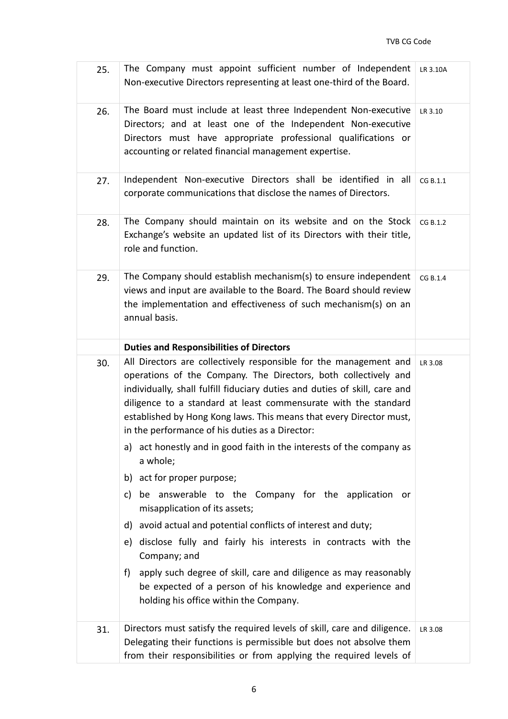| 25. | The Company must appoint sufficient number of Independent<br>Non-executive Directors representing at least one-third of the Board.                                                                                                                                                                                                                           | LR 3.10A |
|-----|--------------------------------------------------------------------------------------------------------------------------------------------------------------------------------------------------------------------------------------------------------------------------------------------------------------------------------------------------------------|----------|
| 26. | The Board must include at least three Independent Non-executive<br>Directors; and at least one of the Independent Non-executive<br>Directors must have appropriate professional qualifications or<br>accounting or related financial management expertise.                                                                                                   | LR 3.10  |
| 27. | Independent Non-executive Directors shall be identified in all<br>corporate communications that disclose the names of Directors.                                                                                                                                                                                                                             | CG B.1.1 |
| 28. | The Company should maintain on its website and on the Stock<br>Exchange's website an updated list of its Directors with their title,<br>role and function.                                                                                                                                                                                                   | CG B.1.2 |
| 29. | The Company should establish mechanism(s) to ensure independent<br>views and input are available to the Board. The Board should review<br>the implementation and effectiveness of such mechanism(s) on an<br>annual basis.                                                                                                                                   | CG B.1.4 |
|     | <b>Duties and Responsibilities of Directors</b>                                                                                                                                                                                                                                                                                                              |          |
| 30. | All Directors are collectively responsible for the management and<br>operations of the Company. The Directors, both collectively and<br>individually, shall fulfill fiduciary duties and duties of skill, care and<br>diligence to a standard at least commensurate with the standard<br>established by Hong Kong laws. This means that every Director must, | LR 3.08  |
|     | in the performance of his duties as a Director:                                                                                                                                                                                                                                                                                                              |          |
|     | a) act honestly and in good faith in the interests of the company as<br>a whole;                                                                                                                                                                                                                                                                             |          |
|     | b) act for proper purpose;                                                                                                                                                                                                                                                                                                                                   |          |
|     | be answerable to the Company for the application or<br>c)<br>misapplication of its assets;                                                                                                                                                                                                                                                                   |          |
|     | d) avoid actual and potential conflicts of interest and duty;                                                                                                                                                                                                                                                                                                |          |
|     | e) disclose fully and fairly his interests in contracts with the<br>Company; and                                                                                                                                                                                                                                                                             |          |
|     | apply such degree of skill, care and diligence as may reasonably<br>f)<br>be expected of a person of his knowledge and experience and<br>holding his office within the Company.                                                                                                                                                                              |          |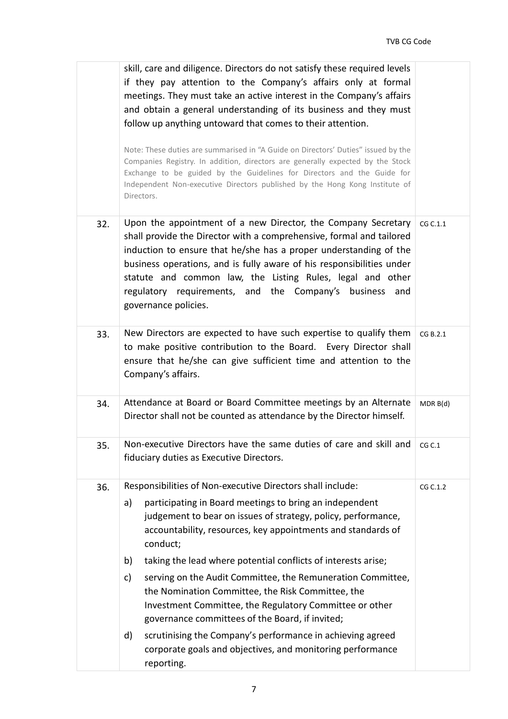|     | skill, care and diligence. Directors do not satisfy these required levels<br>if they pay attention to the Company's affairs only at formal<br>meetings. They must take an active interest in the Company's affairs<br>and obtain a general understanding of its business and they must<br>follow up anything untoward that comes to their attention.<br>Note: These duties are summarised in "A Guide on Directors' Duties" issued by the<br>Companies Registry. In addition, directors are generally expected by the Stock<br>Exchange to be guided by the Guidelines for Directors and the Guide for<br>Independent Non-executive Directors published by the Hong Kong Institute of<br>Directors.                       |          |
|-----|---------------------------------------------------------------------------------------------------------------------------------------------------------------------------------------------------------------------------------------------------------------------------------------------------------------------------------------------------------------------------------------------------------------------------------------------------------------------------------------------------------------------------------------------------------------------------------------------------------------------------------------------------------------------------------------------------------------------------|----------|
| 32. | Upon the appointment of a new Director, the Company Secretary<br>shall provide the Director with a comprehensive, formal and tailored<br>induction to ensure that he/she has a proper understanding of the<br>business operations, and is fully aware of his responsibilities under<br>statute and common law, the Listing Rules, legal and other<br>regulatory requirements, and the Company's business and<br>governance policies.                                                                                                                                                                                                                                                                                      | CG C.1.1 |
| 33. | New Directors are expected to have such expertise to qualify them<br>to make positive contribution to the Board. Every Director shall<br>ensure that he/she can give sufficient time and attention to the<br>Company's affairs.                                                                                                                                                                                                                                                                                                                                                                                                                                                                                           | CG B.2.1 |
| 34. | Attendance at Board or Board Committee meetings by an Alternate<br>Director shall not be counted as attendance by the Director himself.                                                                                                                                                                                                                                                                                                                                                                                                                                                                                                                                                                                   | MDR B(d) |
| 35. | Non-executive Directors have the same duties of care and skill and<br>fiduciary duties as Executive Directors.                                                                                                                                                                                                                                                                                                                                                                                                                                                                                                                                                                                                            | CG C.1   |
| 36. | Responsibilities of Non-executive Directors shall include:<br>participating in Board meetings to bring an independent<br>a)<br>judgement to bear on issues of strategy, policy, performance,<br>accountability, resources, key appointments and standards of<br>conduct;<br>taking the lead where potential conflicts of interests arise;<br>b)<br>serving on the Audit Committee, the Remuneration Committee,<br>c)<br>the Nomination Committee, the Risk Committee, the<br>Investment Committee, the Regulatory Committee or other<br>governance committees of the Board, if invited;<br>scrutinising the Company's performance in achieving agreed<br>d)<br>corporate goals and objectives, and monitoring performance | CG C.1.2 |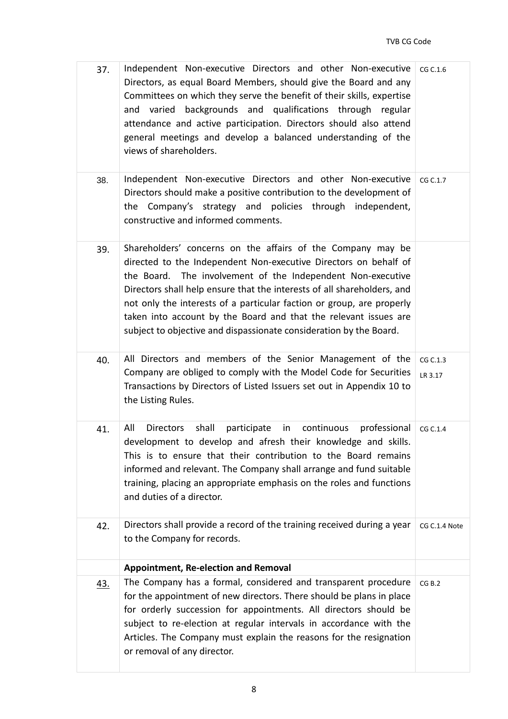| 37.        | Independent Non-executive Directors and other Non-executive<br>Directors, as equal Board Members, should give the Board and any<br>Committees on which they serve the benefit of their skills, expertise<br>and varied backgrounds and qualifications through regular<br>attendance and active participation. Directors should also attend<br>general meetings and develop a balanced understanding of the<br>views of shareholders.                                                         | CG C.1.6            |
|------------|----------------------------------------------------------------------------------------------------------------------------------------------------------------------------------------------------------------------------------------------------------------------------------------------------------------------------------------------------------------------------------------------------------------------------------------------------------------------------------------------|---------------------|
| 38.        | Independent Non-executive Directors and other Non-executive<br>Directors should make a positive contribution to the development of<br>the Company's strategy and policies through independent,<br>constructive and informed comments.                                                                                                                                                                                                                                                        | CG C.1.7            |
| 39.        | Shareholders' concerns on the affairs of the Company may be<br>directed to the Independent Non-executive Directors on behalf of<br>the Board. The involvement of the Independent Non-executive<br>Directors shall help ensure that the interests of all shareholders, and<br>not only the interests of a particular faction or group, are properly<br>taken into account by the Board and that the relevant issues are<br>subject to objective and dispassionate consideration by the Board. |                     |
| 40.        | All Directors and members of the Senior Management of the<br>Company are obliged to comply with the Model Code for Securities<br>Transactions by Directors of Listed Issuers set out in Appendix 10 to<br>the Listing Rules.                                                                                                                                                                                                                                                                 | CG C.1.3<br>LR 3.17 |
| 41.        | All<br>shall<br>participate<br>in<br>continuous<br>professional<br><b>Directors</b><br>development to develop and afresh their knowledge and skills.<br>This is to ensure that their contribution to the Board remains<br>informed and relevant. The Company shall arrange and fund suitable<br>training, placing an appropriate emphasis on the roles and functions<br>and duties of a director.                                                                                            | CG C.1.4            |
| 42.        | Directors shall provide a record of the training received during a year<br>to the Company for records.                                                                                                                                                                                                                                                                                                                                                                                       | CG C.1.4 Note       |
|            | <b>Appointment, Re-election and Removal</b>                                                                                                                                                                                                                                                                                                                                                                                                                                                  |                     |
| <u>43.</u> | The Company has a formal, considered and transparent procedure<br>for the appointment of new directors. There should be plans in place<br>for orderly succession for appointments. All directors should be<br>subject to re-election at regular intervals in accordance with the<br>Articles. The Company must explain the reasons for the resignation<br>or removal of any director.                                                                                                        | CG B.2              |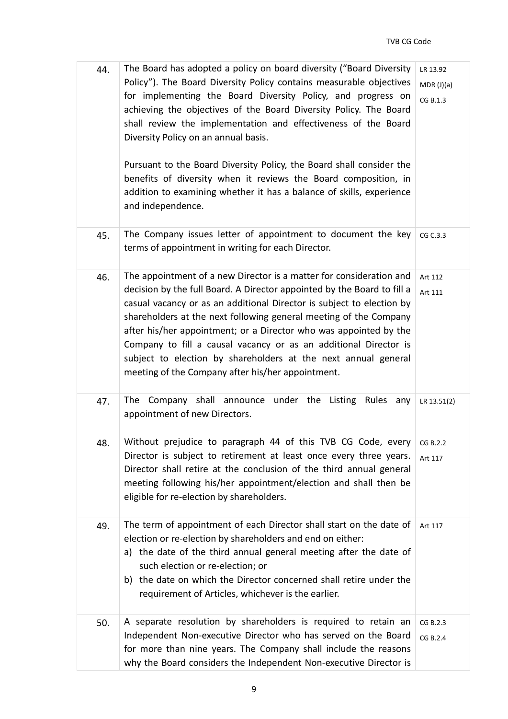| 44. | The Board has adopted a policy on board diversity ("Board Diversity<br>Policy"). The Board Diversity Policy contains measurable objectives<br>for implementing the Board Diversity Policy, and progress on<br>achieving the objectives of the Board Diversity Policy. The Board<br>shall review the implementation and effectiveness of the Board<br>Diversity Policy on an annual basis.<br>Pursuant to the Board Diversity Policy, the Board shall consider the<br>benefits of diversity when it reviews the Board composition, in<br>addition to examining whether it has a balance of skills, experience<br>and independence. | LR 13.92<br>MDR (J)(a)<br>CG B.1.3 |
|-----|-----------------------------------------------------------------------------------------------------------------------------------------------------------------------------------------------------------------------------------------------------------------------------------------------------------------------------------------------------------------------------------------------------------------------------------------------------------------------------------------------------------------------------------------------------------------------------------------------------------------------------------|------------------------------------|
| 45. | The Company issues letter of appointment to document the key<br>terms of appointment in writing for each Director.                                                                                                                                                                                                                                                                                                                                                                                                                                                                                                                | CG C.3.3                           |
| 46. | The appointment of a new Director is a matter for consideration and<br>decision by the full Board. A Director appointed by the Board to fill a<br>casual vacancy or as an additional Director is subject to election by<br>shareholders at the next following general meeting of the Company<br>after his/her appointment; or a Director who was appointed by the<br>Company to fill a causal vacancy or as an additional Director is<br>subject to election by shareholders at the next annual general<br>meeting of the Company after his/her appointment.                                                                      | Art 112<br>Art 111                 |
| 47. | The Company shall announce under the Listing Rules any<br>appointment of new Directors.                                                                                                                                                                                                                                                                                                                                                                                                                                                                                                                                           | LR 13.51(2)                        |
| 48. | Without prejudice to paragraph 44 of this TVB CG Code, every<br>Director is subject to retirement at least once every three years.<br>Director shall retire at the conclusion of the third annual general<br>meeting following his/her appointment/election and shall then be<br>eligible for re-election by shareholders.                                                                                                                                                                                                                                                                                                        | CG B.2.2<br>Art 117                |
| 49. | The term of appointment of each Director shall start on the date of<br>election or re-election by shareholders and end on either:<br>a) the date of the third annual general meeting after the date of<br>such election or re-election; or<br>b) the date on which the Director concerned shall retire under the<br>requirement of Articles, whichever is the earlier.                                                                                                                                                                                                                                                            | Art 117                            |
| 50. | A separate resolution by shareholders is required to retain an<br>Independent Non-executive Director who has served on the Board<br>for more than nine years. The Company shall include the reasons<br>why the Board considers the Independent Non-executive Director is                                                                                                                                                                                                                                                                                                                                                          | CG B.2.3<br>CG B.2.4               |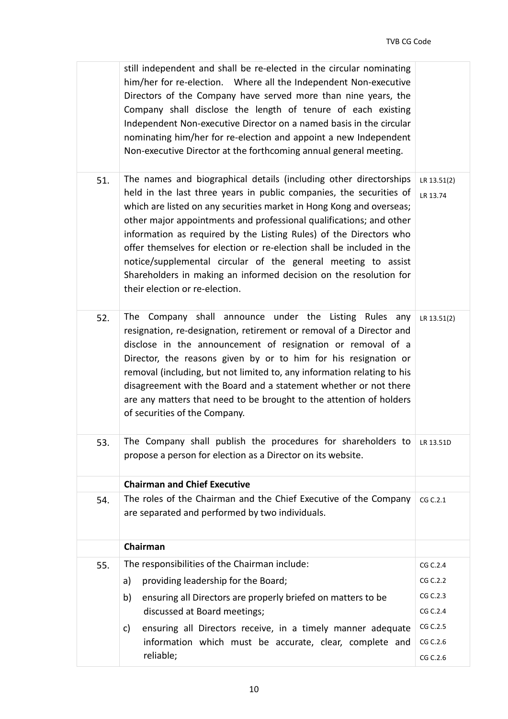|     | still independent and shall be re-elected in the circular nominating<br>him/her for re-election. Where all the Independent Non-executive<br>Directors of the Company have served more than nine years, the<br>Company shall disclose the length of tenure of each existing<br>Independent Non-executive Director on a named basis in the circular<br>nominating him/her for re-election and appoint a new Independent<br>Non-executive Director at the forthcoming annual general meeting.                                                                                                                     |                         |
|-----|----------------------------------------------------------------------------------------------------------------------------------------------------------------------------------------------------------------------------------------------------------------------------------------------------------------------------------------------------------------------------------------------------------------------------------------------------------------------------------------------------------------------------------------------------------------------------------------------------------------|-------------------------|
| 51. | The names and biographical details (including other directorships<br>held in the last three years in public companies, the securities of<br>which are listed on any securities market in Hong Kong and overseas;<br>other major appointments and professional qualifications; and other<br>information as required by the Listing Rules) of the Directors who<br>offer themselves for election or re-election shall be included in the<br>notice/supplemental circular of the general meeting to assist<br>Shareholders in making an informed decision on the resolution for<br>their election or re-election. | LR 13.51(2)<br>LR 13.74 |
| 52. | The Company shall announce under the Listing Rules any<br>resignation, re-designation, retirement or removal of a Director and<br>disclose in the announcement of resignation or removal of a<br>Director, the reasons given by or to him for his resignation or<br>removal (including, but not limited to, any information relating to his<br>disagreement with the Board and a statement whether or not there<br>are any matters that need to be brought to the attention of holders<br>of securities of the Company.                                                                                        | LR 13.51(2)             |
| 53. | The Company shall publish the procedures for shareholders to $\mu$ 13.510<br>propose a person for election as a Director on its website.                                                                                                                                                                                                                                                                                                                                                                                                                                                                       |                         |
|     | <b>Chairman and Chief Executive</b>                                                                                                                                                                                                                                                                                                                                                                                                                                                                                                                                                                            |                         |
| 54. | The roles of the Chairman and the Chief Executive of the Company<br>are separated and performed by two individuals.                                                                                                                                                                                                                                                                                                                                                                                                                                                                                            | CG C.2.1                |
|     | Chairman                                                                                                                                                                                                                                                                                                                                                                                                                                                                                                                                                                                                       |                         |
| 55. | The responsibilities of the Chairman include:                                                                                                                                                                                                                                                                                                                                                                                                                                                                                                                                                                  | CG C.2.4                |
|     | providing leadership for the Board;<br>a)                                                                                                                                                                                                                                                                                                                                                                                                                                                                                                                                                                      | CG C.2.2                |
|     | ensuring all Directors are properly briefed on matters to be<br>b)<br>discussed at Board meetings;                                                                                                                                                                                                                                                                                                                                                                                                                                                                                                             | CG C.2.3<br>CG C.2.4    |
|     | ensuring all Directors receive, in a timely manner adequate<br>c)                                                                                                                                                                                                                                                                                                                                                                                                                                                                                                                                              | CG C.2.5                |
|     | information which must be accurate, clear, complete and                                                                                                                                                                                                                                                                                                                                                                                                                                                                                                                                                        | CG C.2.6                |
|     | reliable;                                                                                                                                                                                                                                                                                                                                                                                                                                                                                                                                                                                                      | CG C.2.6                |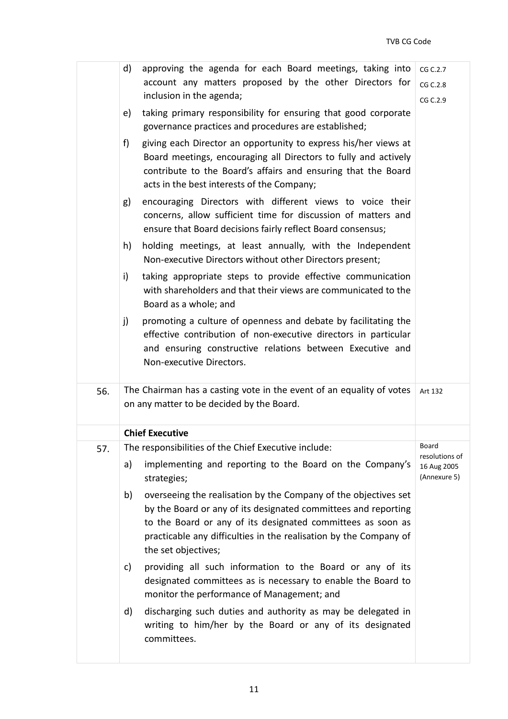|     | d) | approving the agenda for each Board meetings, taking into                                                                                                                                                                                                                                    | CG C.2.7                                      |
|-----|----|----------------------------------------------------------------------------------------------------------------------------------------------------------------------------------------------------------------------------------------------------------------------------------------------|-----------------------------------------------|
|     |    | account any matters proposed by the other Directors for                                                                                                                                                                                                                                      | CG C.2.8                                      |
|     |    | inclusion in the agenda;                                                                                                                                                                                                                                                                     | CG C.2.9                                      |
|     | e) | taking primary responsibility for ensuring that good corporate<br>governance practices and procedures are established;                                                                                                                                                                       |                                               |
|     | f) | giving each Director an opportunity to express his/her views at<br>Board meetings, encouraging all Directors to fully and actively<br>contribute to the Board's affairs and ensuring that the Board<br>acts in the best interests of the Company;                                            |                                               |
|     | g) | encouraging Directors with different views to voice their<br>concerns, allow sufficient time for discussion of matters and<br>ensure that Board decisions fairly reflect Board consensus;                                                                                                    |                                               |
|     | h) | holding meetings, at least annually, with the Independent<br>Non-executive Directors without other Directors present;                                                                                                                                                                        |                                               |
|     | i) | taking appropriate steps to provide effective communication<br>with shareholders and that their views are communicated to the<br>Board as a whole; and                                                                                                                                       |                                               |
|     | j) | promoting a culture of openness and debate by facilitating the<br>effective contribution of non-executive directors in particular<br>and ensuring constructive relations between Executive and<br>Non-executive Directors.                                                                   |                                               |
| 56. |    | The Chairman has a casting vote in the event of an equality of votes<br>on any matter to be decided by the Board.                                                                                                                                                                            | Art 132                                       |
|     |    | <b>Chief Executive</b>                                                                                                                                                                                                                                                                       |                                               |
| 57. |    | The responsibilities of the Chief Executive include:                                                                                                                                                                                                                                         | Board                                         |
|     | a) | implementing and reporting to the Board on the Company's<br>strategies;                                                                                                                                                                                                                      | resolutions of<br>16 Aug 2005<br>(Annexure 5) |
|     | b) | overseeing the realisation by the Company of the objectives set<br>by the Board or any of its designated committees and reporting<br>to the Board or any of its designated committees as soon as<br>practicable any difficulties in the realisation by the Company of<br>the set objectives; |                                               |
|     | c) | providing all such information to the Board or any of its<br>designated committees as is necessary to enable the Board to<br>monitor the performance of Management; and                                                                                                                      |                                               |
|     | d) | discharging such duties and authority as may be delegated in<br>writing to him/her by the Board or any of its designated                                                                                                                                                                     |                                               |
|     |    | committees.                                                                                                                                                                                                                                                                                  |                                               |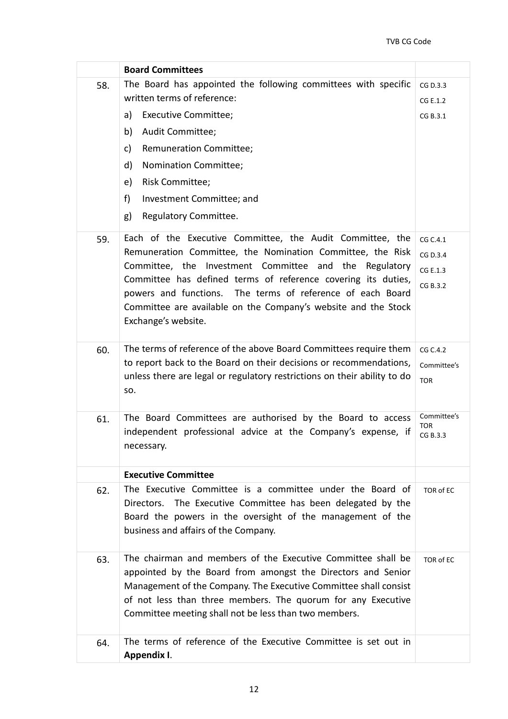|     | <b>Board Committees</b>                                                                                                                                                                                                                                                                                                                                                                                   |                                              |
|-----|-----------------------------------------------------------------------------------------------------------------------------------------------------------------------------------------------------------------------------------------------------------------------------------------------------------------------------------------------------------------------------------------------------------|----------------------------------------------|
| 58. | The Board has appointed the following committees with specific<br>written terms of reference:<br><b>Executive Committee;</b><br>a)<br>b)<br>Audit Committee;<br><b>Remuneration Committee;</b><br>c)<br>d)<br>Nomination Committee;<br><b>Risk Committee;</b><br>e)<br>f)<br>Investment Committee; and<br>Regulatory Committee.<br>g)                                                                     | CG D.3.3<br>CG E.1.2<br>CG B.3.1             |
| 59. | Each of the Executive Committee, the Audit Committee, the<br>Remuneration Committee, the Nomination Committee, the Risk<br>Committee, the Investment Committee and the Regulatory<br>Committee has defined terms of reference covering its duties,<br>powers and functions. The terms of reference of each Board<br>Committee are available on the Company's website and the Stock<br>Exchange's website. | CG C.4.1<br>CG D.3.4<br>CG E.1.3<br>CG B.3.2 |
| 60. | The terms of reference of the above Board Committees require them<br>to report back to the Board on their decisions or recommendations,<br>unless there are legal or regulatory restrictions on their ability to do<br>SO.                                                                                                                                                                                | CG C.4.2<br>Committee's<br><b>TOR</b>        |
| 61. | The Board Committees are authorised by the Board to access<br>independent professional advice at the Company's expense, if<br>necessary.                                                                                                                                                                                                                                                                  | Committee's<br><b>TOR</b><br>CG B.3.3        |
| 62. | <b>Executive Committee</b><br>The Executive Committee is a committee under the Board of<br>Directors. The Executive Committee has been delegated by the<br>Board the powers in the oversight of the management of the<br>business and affairs of the Company.                                                                                                                                             | TOR of EC                                    |
| 63. | The chairman and members of the Executive Committee shall be<br>appointed by the Board from amongst the Directors and Senior<br>Management of the Company. The Executive Committee shall consist<br>of not less than three members. The quorum for any Executive<br>Committee meeting shall not be less than two members.                                                                                 | TOR of EC                                    |
| 64. | The terms of reference of the Executive Committee is set out in<br>Appendix I.                                                                                                                                                                                                                                                                                                                            |                                              |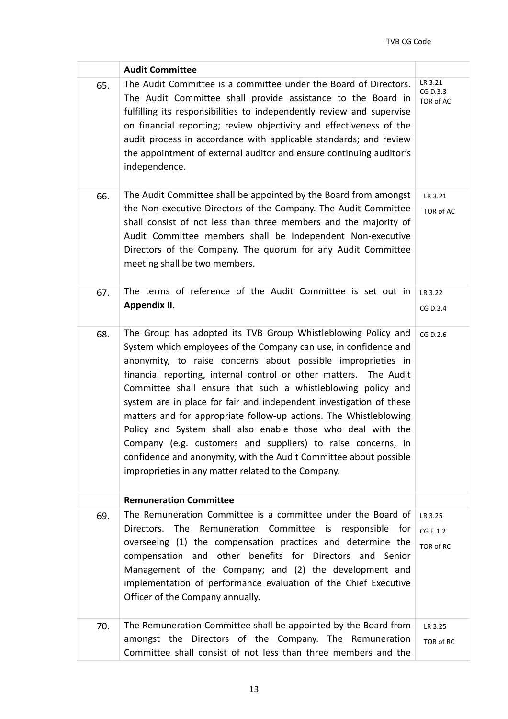|     | <b>Audit Committee</b>                                                                                                                                                                                                                                                                                                                                                                                                                                                                                                                                                                                                                                                                                                                        |                                  |
|-----|-----------------------------------------------------------------------------------------------------------------------------------------------------------------------------------------------------------------------------------------------------------------------------------------------------------------------------------------------------------------------------------------------------------------------------------------------------------------------------------------------------------------------------------------------------------------------------------------------------------------------------------------------------------------------------------------------------------------------------------------------|----------------------------------|
| 65. | The Audit Committee is a committee under the Board of Directors.<br>The Audit Committee shall provide assistance to the Board in<br>fulfilling its responsibilities to independently review and supervise<br>on financial reporting; review objectivity and effectiveness of the<br>audit process in accordance with applicable standards; and review<br>the appointment of external auditor and ensure continuing auditor's<br>independence.                                                                                                                                                                                                                                                                                                 | LR 3.21<br>CG D.3.3<br>TOR of AC |
| 66. | The Audit Committee shall be appointed by the Board from amongst<br>the Non-executive Directors of the Company. The Audit Committee<br>shall consist of not less than three members and the majority of<br>Audit Committee members shall be Independent Non-executive<br>Directors of the Company. The quorum for any Audit Committee<br>meeting shall be two members.                                                                                                                                                                                                                                                                                                                                                                        | LR 3.21<br>TOR of AC             |
| 67. | The terms of reference of the Audit Committee is set out in<br>Appendix II.                                                                                                                                                                                                                                                                                                                                                                                                                                                                                                                                                                                                                                                                   | LR 3.22<br>CG D.3.4              |
| 68. | The Group has adopted its TVB Group Whistleblowing Policy and<br>System which employees of the Company can use, in confidence and<br>anonymity, to raise concerns about possible improprieties in<br>financial reporting, internal control or other matters. The Audit<br>Committee shall ensure that such a whistleblowing policy and<br>system are in place for fair and independent investigation of these<br>matters and for appropriate follow-up actions. The Whistleblowing<br>Policy and System shall also enable those who deal with the<br>Company (e.g. customers and suppliers) to raise concerns, in<br>confidence and anonymity, with the Audit Committee about possible<br>improprieties in any matter related to the Company. | CG D.2.6                         |
|     | <b>Remuneration Committee</b>                                                                                                                                                                                                                                                                                                                                                                                                                                                                                                                                                                                                                                                                                                                 |                                  |
| 69. | The Remuneration Committee is a committee under the Board of<br>Directors. The Remuneration Committee is responsible for<br>overseeing (1) the compensation practices and determine the<br>compensation and other benefits for Directors and Senior<br>Management of the Company; and (2) the development and<br>implementation of performance evaluation of the Chief Executive<br>Officer of the Company annually.                                                                                                                                                                                                                                                                                                                          | LR 3.25<br>CG E.1.2<br>TOR of RC |
| 70. | The Remuneration Committee shall be appointed by the Board from<br>amongst the Directors of the Company. The Remuneration<br>Committee shall consist of not less than three members and the                                                                                                                                                                                                                                                                                                                                                                                                                                                                                                                                                   | LR 3.25<br>TOR of RC             |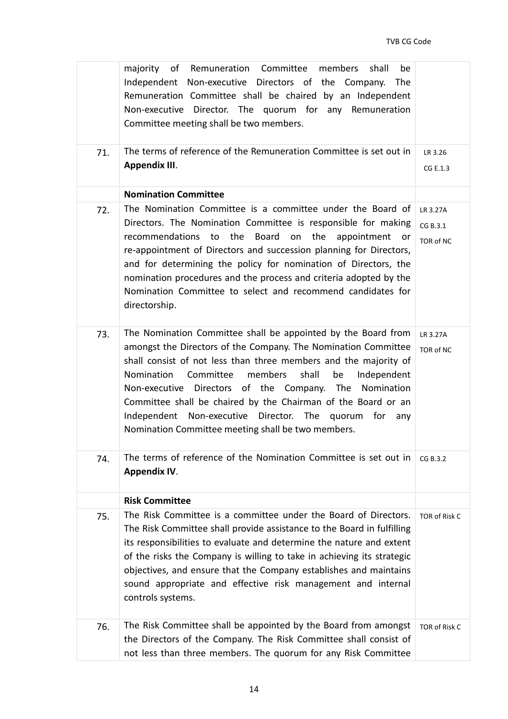|     | majority of Remuneration Committee<br>members<br>shall<br>be<br>Independent Non-executive Directors of the Company.<br>The<br>Remuneration Committee shall be chaired by an Independent<br>Non-executive Director. The quorum for any Remuneration<br>Committee meeting shall be two members.                                                                                                                                                                                                                         |                                   |
|-----|-----------------------------------------------------------------------------------------------------------------------------------------------------------------------------------------------------------------------------------------------------------------------------------------------------------------------------------------------------------------------------------------------------------------------------------------------------------------------------------------------------------------------|-----------------------------------|
| 71. | The terms of reference of the Remuneration Committee is set out in<br>Appendix III.                                                                                                                                                                                                                                                                                                                                                                                                                                   | LR 3.26<br>CG E.1.3               |
|     | <b>Nomination Committee</b>                                                                                                                                                                                                                                                                                                                                                                                                                                                                                           |                                   |
| 72. | The Nomination Committee is a committee under the Board of<br>Directors. The Nomination Committee is responsible for making<br>recommendations<br>to the<br>Board<br>on<br>the<br>appointment<br>or<br>re-appointment of Directors and succession planning for Directors,<br>and for determining the policy for nomination of Directors, the<br>nomination procedures and the process and criteria adopted by the<br>Nomination Committee to select and recommend candidates for<br>directorship.                     | LR 3.27A<br>CG B.3.1<br>TOR of NC |
| 73. | The Nomination Committee shall be appointed by the Board from<br>amongst the Directors of the Company. The Nomination Committee<br>shall consist of not less than three members and the majority of<br>members<br>shall<br>Nomination<br>Committee<br>be<br>Independent<br>Non-executive Directors of the Company. The<br>Nomination<br>Committee shall be chaired by the Chairman of the Board or an<br>Independent Non-executive Director. The quorum for any<br>Nomination Committee meeting shall be two members. | LR 3.27A<br>TOR of NC             |
| 74. | The terms of reference of the Nomination Committee is set out in<br><b>Appendix IV.</b>                                                                                                                                                                                                                                                                                                                                                                                                                               | CG B.3.2                          |
|     | <b>Risk Committee</b>                                                                                                                                                                                                                                                                                                                                                                                                                                                                                                 |                                   |
| 75. | The Risk Committee is a committee under the Board of Directors.<br>The Risk Committee shall provide assistance to the Board in fulfilling<br>its responsibilities to evaluate and determine the nature and extent<br>of the risks the Company is willing to take in achieving its strategic<br>objectives, and ensure that the Company establishes and maintains<br>sound appropriate and effective risk management and internal<br>controls systems.                                                                 | <b>TOR of Risk C</b>              |
| 76. | The Risk Committee shall be appointed by the Board from amongst<br>the Directors of the Company. The Risk Committee shall consist of<br>not less than three members. The quorum for any Risk Committee                                                                                                                                                                                                                                                                                                                | TOR of Risk C                     |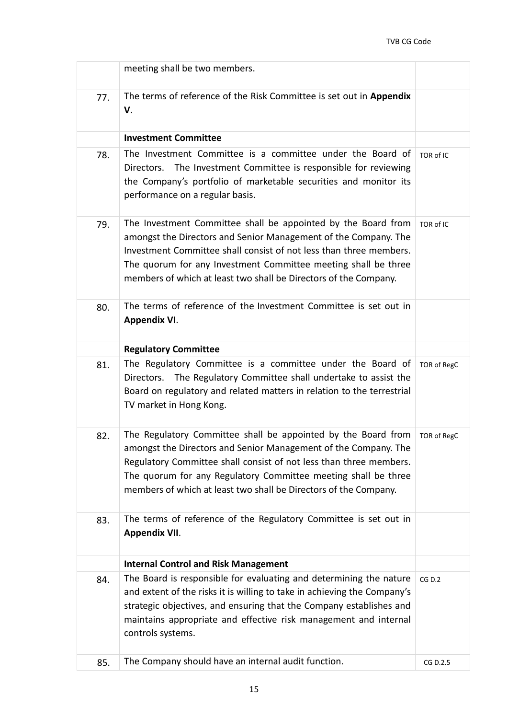|     | meeting shall be two members.                                                                                                                                                                                                                                                                                                                |             |
|-----|----------------------------------------------------------------------------------------------------------------------------------------------------------------------------------------------------------------------------------------------------------------------------------------------------------------------------------------------|-------------|
| 77. | The terms of reference of the Risk Committee is set out in Appendix<br>V.                                                                                                                                                                                                                                                                    |             |
|     | <b>Investment Committee</b>                                                                                                                                                                                                                                                                                                                  |             |
| 78. | The Investment Committee is a committee under the Board of<br>Directors. The Investment Committee is responsible for reviewing<br>the Company's portfolio of marketable securities and monitor its<br>performance on a regular basis.                                                                                                        | TOR of IC   |
| 79. | The Investment Committee shall be appointed by the Board from<br>amongst the Directors and Senior Management of the Company. The<br>Investment Committee shall consist of not less than three members.<br>The quorum for any Investment Committee meeting shall be three<br>members of which at least two shall be Directors of the Company. | TOR of IC   |
| 80. | The terms of reference of the Investment Committee is set out in<br><b>Appendix VI.</b>                                                                                                                                                                                                                                                      |             |
|     | <b>Regulatory Committee</b>                                                                                                                                                                                                                                                                                                                  |             |
| 81. | The Regulatory Committee is a committee under the Board of<br>The Regulatory Committee shall undertake to assist the<br>Directors.<br>Board on regulatory and related matters in relation to the terrestrial<br>TV market in Hong Kong.                                                                                                      | TOR of RegC |
| 82. | The Regulatory Committee shall be appointed by the Board from<br>amongst the Directors and Senior Management of the Company. The<br>Regulatory Committee shall consist of not less than three members.<br>The quorum for any Regulatory Committee meeting shall be three<br>members of which at least two shall be Directors of the Company. | TOR of RegC |
| 83. | The terms of reference of the Regulatory Committee is set out in<br><b>Appendix VII.</b>                                                                                                                                                                                                                                                     |             |
|     | <b>Internal Control and Risk Management</b>                                                                                                                                                                                                                                                                                                  |             |
| 84. | The Board is responsible for evaluating and determining the nature<br>and extent of the risks it is willing to take in achieving the Company's<br>strategic objectives, and ensuring that the Company establishes and<br>maintains appropriate and effective risk management and internal<br>controls systems.                               | CG D.2      |
| 85. | The Company should have an internal audit function.                                                                                                                                                                                                                                                                                          | CG D.2.5    |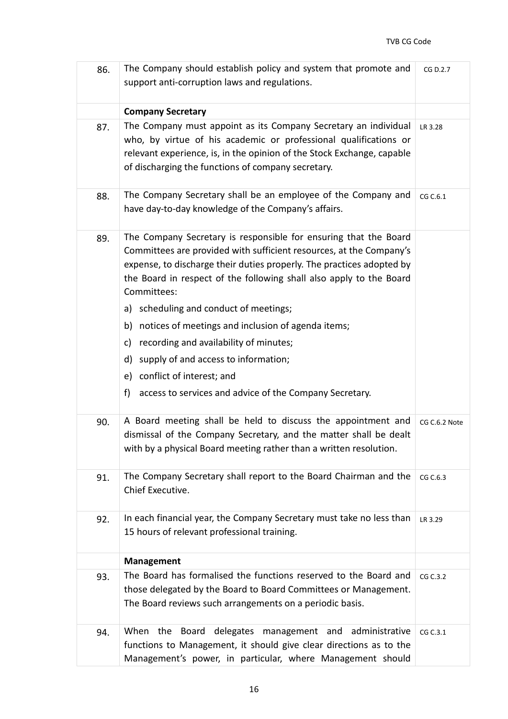| 86. | The Company should establish policy and system that promote and<br>support anti-corruption laws and regulations.                                                                                                                                                                                       |               |  |
|-----|--------------------------------------------------------------------------------------------------------------------------------------------------------------------------------------------------------------------------------------------------------------------------------------------------------|---------------|--|
|     | <b>Company Secretary</b>                                                                                                                                                                                                                                                                               |               |  |
| 87. | The Company must appoint as its Company Secretary an individual<br>who, by virtue of his academic or professional qualifications or<br>relevant experience, is, in the opinion of the Stock Exchange, capable<br>of discharging the functions of company secretary.                                    | LR 3.28       |  |
| 88. | The Company Secretary shall be an employee of the Company and<br>have day-to-day knowledge of the Company's affairs.                                                                                                                                                                                   | CG C.6.1      |  |
| 89. | The Company Secretary is responsible for ensuring that the Board<br>Committees are provided with sufficient resources, at the Company's<br>expense, to discharge their duties properly. The practices adopted by<br>the Board in respect of the following shall also apply to the Board<br>Committees: |               |  |
|     | a) scheduling and conduct of meetings;                                                                                                                                                                                                                                                                 |               |  |
|     | b) notices of meetings and inclusion of agenda items;                                                                                                                                                                                                                                                  |               |  |
|     | c) recording and availability of minutes;                                                                                                                                                                                                                                                              |               |  |
|     | d) supply of and access to information;                                                                                                                                                                                                                                                                |               |  |
|     | e) conflict of interest; and                                                                                                                                                                                                                                                                           |               |  |
|     | access to services and advice of the Company Secretary.<br>f)                                                                                                                                                                                                                                          |               |  |
| 90. | A Board meeting shall be held to discuss the appointment and<br>dismissal of the Company Secretary, and the matter shall be dealt<br>with by a physical Board meeting rather than a written resolution.                                                                                                | CG C.6.2 Note |  |
| 91. | The Company Secretary shall report to the Board Chairman and the<br>Chief Executive.                                                                                                                                                                                                                   | CG C.6.3      |  |
| 92. | In each financial year, the Company Secretary must take no less than<br>15 hours of relevant professional training.                                                                                                                                                                                    | LR 3.29       |  |
|     | <b>Management</b>                                                                                                                                                                                                                                                                                      |               |  |
| 93. | The Board has formalised the functions reserved to the Board and<br>those delegated by the Board to Board Committees or Management.<br>The Board reviews such arrangements on a periodic basis.                                                                                                        | CG C.3.2      |  |
| 94. | delegates<br>When the<br><b>Board</b><br>management and<br>administrative<br>functions to Management, it should give clear directions as to the<br>Management's power, in particular, where Management should                                                                                          | CG C.3.1      |  |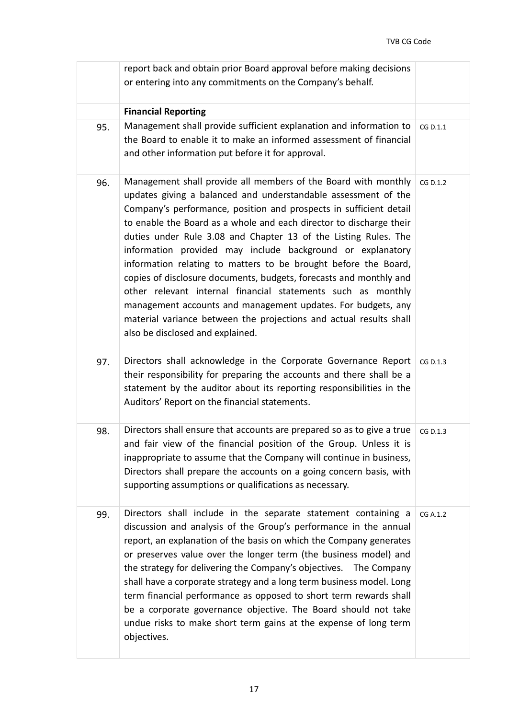|     | report back and obtain prior Board approval before making decisions<br>or entering into any commitments on the Company's behalf.                                                                                                                                                                                                                                                                                                                                                                                                                                                                                                                                                                                                                                                                  |          |
|-----|---------------------------------------------------------------------------------------------------------------------------------------------------------------------------------------------------------------------------------------------------------------------------------------------------------------------------------------------------------------------------------------------------------------------------------------------------------------------------------------------------------------------------------------------------------------------------------------------------------------------------------------------------------------------------------------------------------------------------------------------------------------------------------------------------|----------|
|     | <b>Financial Reporting</b>                                                                                                                                                                                                                                                                                                                                                                                                                                                                                                                                                                                                                                                                                                                                                                        |          |
| 95. | Management shall provide sufficient explanation and information to<br>the Board to enable it to make an informed assessment of financial<br>and other information put before it for approval.                                                                                                                                                                                                                                                                                                                                                                                                                                                                                                                                                                                                     | CG D.1.1 |
| 96. | Management shall provide all members of the Board with monthly<br>updates giving a balanced and understandable assessment of the<br>Company's performance, position and prospects in sufficient detail<br>to enable the Board as a whole and each director to discharge their<br>duties under Rule 3.08 and Chapter 13 of the Listing Rules. The<br>information provided may include background or explanatory<br>information relating to matters to be brought before the Board,<br>copies of disclosure documents, budgets, forecasts and monthly and<br>other relevant internal financial statements such as monthly<br>management accounts and management updates. For budgets, any<br>material variance between the projections and actual results shall<br>also be disclosed and explained. | CG D.1.2 |
| 97. | Directors shall acknowledge in the Corporate Governance Report<br>their responsibility for preparing the accounts and there shall be a<br>statement by the auditor about its reporting responsibilities in the<br>Auditors' Report on the financial statements.                                                                                                                                                                                                                                                                                                                                                                                                                                                                                                                                   | CG D.1.3 |
| 98. | Directors shall ensure that accounts are prepared so as to give a true<br>and fair view of the financial position of the Group. Unless it is<br>inappropriate to assume that the Company will continue in business,<br>Directors shall prepare the accounts on a going concern basis, with<br>supporting assumptions or qualifications as necessary.                                                                                                                                                                                                                                                                                                                                                                                                                                              | CG D.1.3 |
| 99. | Directors shall include in the separate statement containing a<br>discussion and analysis of the Group's performance in the annual<br>report, an explanation of the basis on which the Company generates<br>or preserves value over the longer term (the business model) and<br>the strategy for delivering the Company's objectives.  The Company<br>shall have a corporate strategy and a long term business model. Long<br>term financial performance as opposed to short term rewards shall<br>be a corporate governance objective. The Board should not take<br>undue risks to make short term gains at the expense of long term<br>objectives.                                                                                                                                              | CG A.1.2 |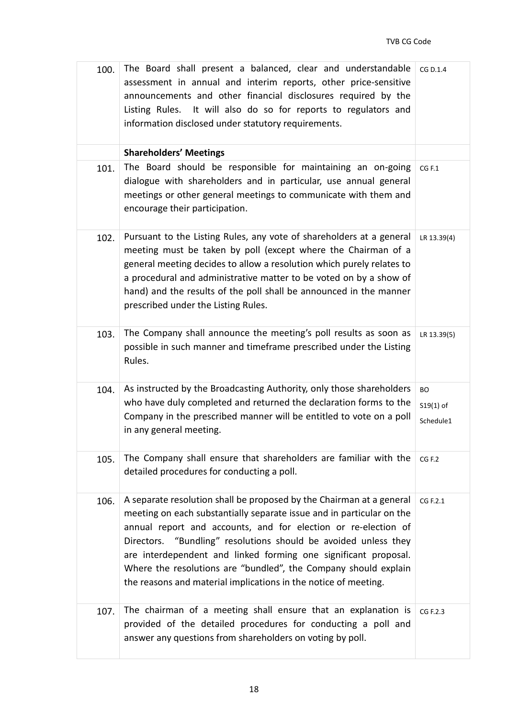| 100. | The Board shall present a balanced, clear and understandable<br>assessment in annual and interim reports, other price-sensitive<br>announcements and other financial disclosures required by the<br>Listing Rules. It will also do so for reports to regulators and<br>information disclosed under statutory requirements.                                                                                                                                                                  | CG D.1.4                              |
|------|---------------------------------------------------------------------------------------------------------------------------------------------------------------------------------------------------------------------------------------------------------------------------------------------------------------------------------------------------------------------------------------------------------------------------------------------------------------------------------------------|---------------------------------------|
|      | <b>Shareholders' Meetings</b>                                                                                                                                                                                                                                                                                                                                                                                                                                                               |                                       |
| 101. | The Board should be responsible for maintaining an on-going<br>dialogue with shareholders and in particular, use annual general<br>meetings or other general meetings to communicate with them and<br>encourage their participation.                                                                                                                                                                                                                                                        | CG F.1                                |
| 102. | Pursuant to the Listing Rules, any vote of shareholders at a general<br>meeting must be taken by poll (except where the Chairman of a<br>general meeting decides to allow a resolution which purely relates to<br>a procedural and administrative matter to be voted on by a show of<br>hand) and the results of the poll shall be announced in the manner<br>prescribed under the Listing Rules.                                                                                           | LR 13.39(4)                           |
| 103. | The Company shall announce the meeting's poll results as soon as<br>possible in such manner and timeframe prescribed under the Listing<br>Rules.                                                                                                                                                                                                                                                                                                                                            | LR 13.39(5)                           |
| 104. | As instructed by the Broadcasting Authority, only those shareholders<br>who have duly completed and returned the declaration forms to the<br>Company in the prescribed manner will be entitled to vote on a poll<br>in any general meeting.                                                                                                                                                                                                                                                 | <b>BO</b><br>$S19(1)$ of<br>Schedule1 |
| 105. | The Company shall ensure that shareholders are familiar with the<br>detailed procedures for conducting a poll.                                                                                                                                                                                                                                                                                                                                                                              | CG F.2                                |
| 106. | A separate resolution shall be proposed by the Chairman at a general<br>meeting on each substantially separate issue and in particular on the<br>annual report and accounts, and for election or re-election of<br>Directors. "Bundling" resolutions should be avoided unless they<br>are interdependent and linked forming one significant proposal.<br>Where the resolutions are "bundled", the Company should explain<br>the reasons and material implications in the notice of meeting. | CG F.2.1                              |
| 107. | The chairman of a meeting shall ensure that an explanation is<br>provided of the detailed procedures for conducting a poll and<br>answer any questions from shareholders on voting by poll.                                                                                                                                                                                                                                                                                                 | CG F.2.3                              |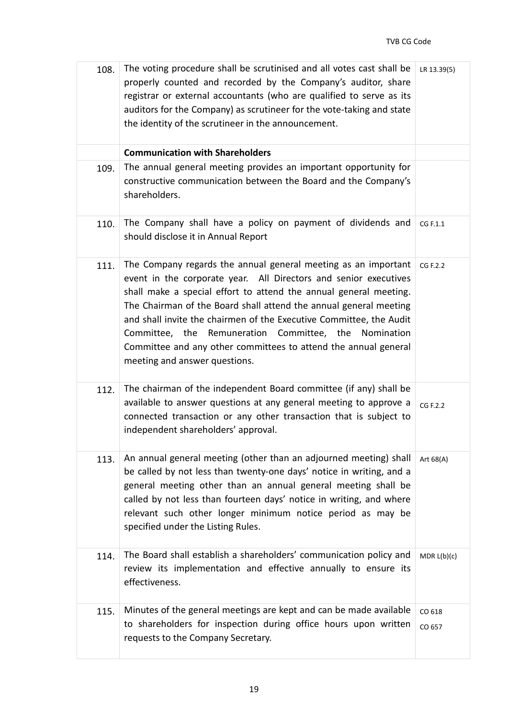| 108. | The voting procedure shall be scrutinised and all votes cast shall be<br>properly counted and recorded by the Company's auditor, share<br>registrar or external accountants (who are qualified to serve as its<br>auditors for the Company) as scrutineer for the vote-taking and state<br>the identity of the scrutineer in the announcement.                                                                                                                                                                      | LR 13.39(5)      |
|------|---------------------------------------------------------------------------------------------------------------------------------------------------------------------------------------------------------------------------------------------------------------------------------------------------------------------------------------------------------------------------------------------------------------------------------------------------------------------------------------------------------------------|------------------|
|      | <b>Communication with Shareholders</b>                                                                                                                                                                                                                                                                                                                                                                                                                                                                              |                  |
| 109. | The annual general meeting provides an important opportunity for<br>constructive communication between the Board and the Company's<br>shareholders.                                                                                                                                                                                                                                                                                                                                                                 |                  |
| 110. | The Company shall have a policy on payment of dividends and<br>should disclose it in Annual Report                                                                                                                                                                                                                                                                                                                                                                                                                  | CG F.1.1         |
| 111. | The Company regards the annual general meeting as an important<br>event in the corporate year. All Directors and senior executives<br>shall make a special effort to attend the annual general meeting.<br>The Chairman of the Board shall attend the annual general meeting<br>and shall invite the chairmen of the Executive Committee, the Audit<br>Committee, the Remuneration Committee, the<br>Nomination<br>Committee and any other committees to attend the annual general<br>meeting and answer questions. | CG F.2.2         |
| 112. | The chairman of the independent Board committee (if any) shall be<br>available to answer questions at any general meeting to approve a<br>connected transaction or any other transaction that is subject to<br>independent shareholders' approval.                                                                                                                                                                                                                                                                  | CG F.2.2         |
| 113. | An annual general meeting (other than an adjourned meeting) shall<br>be called by not less than twenty-one days' notice in writing, and a<br>general meeting other than an annual general meeting shall be<br>called by not less than fourteen days' notice in writing, and where<br>relevant such other longer minimum notice period as may be<br>specified under the Listing Rules.                                                                                                                               | Art 68(A)        |
| 114. | The Board shall establish a shareholders' communication policy and<br>review its implementation and effective annually to ensure its<br>effectiveness.                                                                                                                                                                                                                                                                                                                                                              | MDR L(b)(c)      |
| 115. | Minutes of the general meetings are kept and can be made available<br>to shareholders for inspection during office hours upon written<br>requests to the Company Secretary.                                                                                                                                                                                                                                                                                                                                         | CO 618<br>CO 657 |